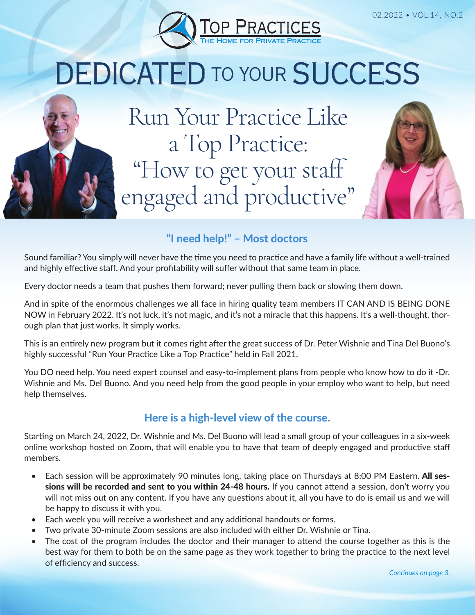

# DEDICATED TO YOUR SUCCESS

Run Your Practice Like a Top Practice: "How to get your staff engaged and productive"

# "I need help!" – Most doctors

Sound familiar? You simply will never have the time you need to practice and have a family life without a well-trained and highly effective staff. And your profitability will suffer without that same team in place.

Every doctor needs a team that pushes them forward; never pulling them back or slowing them down.

And in spite of the enormous challenges we all face in hiring quality team members IT CAN AND IS BEING DONE NOW in February 2022. It's not luck, it's not magic, and it's not a miracle that this happens. It's a well-thought, thorough plan that just works. It simply works.

This is an entirely new program but it comes right after the great success of Dr. Peter Wishnie and Tina Del Buono's highly successful "Run Your Practice Like a Top Practice" held in Fall 2021.

You DO need help. You need expert counsel and easy-to-implement plans from people who know how to do it -Dr. Wishnie and Ms. Del Buono. And you need help from the good people in your employ who want to help, but need help themselves.

## Here is a high-level view of the course.

Starting on March 24, 2022, Dr. Wishnie and Ms. Del Buono will lead a small group of your colleagues in a six-week online workshop hosted on Zoom, that will enable you to have that team of deeply engaged and productive staff members.

- Each session will be approximately 90 minutes long, taking place on Thursdays at 8:00 PM Eastern. All sessions will be recorded and sent to you within 24-48 hours. If you cannot attend a session, don't worry you will not miss out on any content. If you have any questions about it, all you have to do is email us and we will be happy to discuss it with you.
- Each week you will receive a worksheet and any additional handouts or forms.
- Two private 30-minute Zoom sessions are also included with either Dr. Wishnie or Tina.
- The cost of the program includes the doctor and their manager to attend the course together as this is the best way for them to both be on the same page as they work together to bring the practice to the next level of efficiency and success.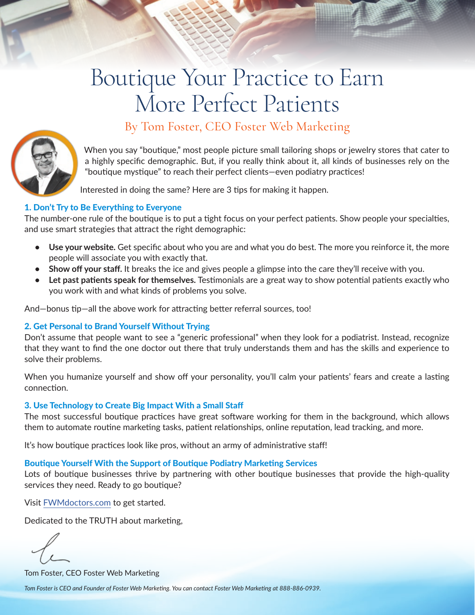# Boutique Your Practice to Earn More Perfect Patients



# By Tom Foster, CEO Foster Web Marketing

When you say "boutique," most people picture small tailoring shops or jewelry stores that cater to a highly specific demographic. But, if you really think about it, all kinds of businesses rely on the "boutique mystique" to reach their perfect clients—even podiatry practices!

Interested in doing the same? Here are 3 tips for making it happen.

#### 1. Don't Try to Be Everything to Everyone

The number-one rule of the boutique is to put a tight focus on your perfect patients. Show people your specialties, and use smart strategies that attract the right demographic:

- **• Use your website.** Get specific about who you are and what you do best. The more you reinforce it, the more people will associate you with exactly that.
- **• Show off your staff.** It breaks the ice and gives people a glimpse into the care they'll receive with you.
- **• Let past patients speak for themselves.** Testimonials are a great way to show potential patients exactly who you work with and what kinds of problems you solve.

And—bonus tip—all the above work for attracting better referral sources, too!

#### 2. Get Personal to Brand Yourself Without Trying

Don't assume that people want to see a "generic professional" when they look for a podiatrist. Instead, recognize that they want to find the one doctor out there that truly understands them and has the skills and experience to solve their problems.

When you humanize yourself and show off your personality, you'll calm your patients' fears and create a lasting connection.

#### 3. Use Technology to Create Big Impact With a Small Staff

The most successful boutique practices have great software working for them in the background, which allows them to automate routine marketing tasks, patient relationships, online reputation, lead tracking, and more.

It's how boutique practices look like pros, without an army of administrative staff!

#### Boutique Yourself With the Support of Boutique Podiatry Marketing Services

Lots of boutique businesses thrive by partnering with other boutique businesses that provide the high-quality services they need. Ready to go boutique?

Visit [FWMdoctors.com](https://FWMdoctors.com) to get started.

Dedicated to the TRUTH about marketing,

Tom Foster, CEO Foster Web Marketing

*Tom Foster is CEO and Founder of Foster Web Marketing. You can contact Foster Web Marketing at 888-886-0939.*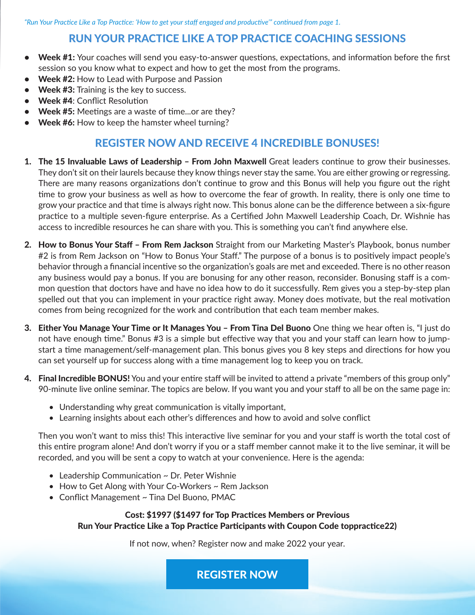*"Run Your Practice Like a Top Practice: 'How to get your staff engaged and productive'" continued from page 1.*

## RUN YOUR PRACTICE LIKE A TOP PRACTICE COACHING SESSIONS

- Week #1: Your coaches will send you easy-to-answer questions, expectations, and information before the first session so you know what to expect and how to get the most from the programs.
- Week #2: How to Lead with Purpose and Passion
- Week #3: Training is the key to success.
- Week #4: Conflict Resolution
- Week #5: Meetings are a waste of time...or are they?
- Week #6: How to keep the hamster wheel turning?

### REGISTER NOW AND RECEIVE 4 INCREDIBLE BONUSES!

- 1. The 15 Invaluable Laws of Leadership From John Maxwell Great leaders continue to grow their businesses. They don't sit on their laurels because they know things never stay the same. You are either growing or regressing. There are many reasons organizations don't continue to grow and this Bonus will help you figure out the right time to grow your business as well as how to overcome the fear of growth. In reality, there is only one time to grow your practice and that time is always right now. This bonus alone can be the difference between a six-figure practice to a multiple seven-figure enterprise. As a Certified John Maxwell Leadership Coach, Dr. Wishnie has access to incredible resources he can share with you. This is something you can't find anywhere else.
- 2. How to Bonus Your Staff From Rem Jackson Straight from our Marketing Master's Playbook, bonus number #2 is from Rem Jackson on "How to Bonus Your Staff." The purpose of a bonus is to positively impact people's behavior through a financial incentive so the organization's goals are met and exceeded. There is no other reason any business would pay a bonus. If you are bonusing for any other reason, reconsider. Bonusing staff is a common question that doctors have and have no idea how to do it successfully. Rem gives you a step-by-step plan spelled out that you can implement in your practice right away. Money does motivate, but the real motivation comes from being recognized for the work and contribution that each team member makes.
- 3. Either You Manage Your Time or It Manages You From Tina Del Buono One thing we hear often is, "I just do not have enough time." Bonus #3 is a simple but effective way that you and your staff can learn how to jumpstart a time management/self-management plan. This bonus gives you 8 key steps and directions for how you can set yourself up for success along with a time management log to keep you on track.
- 4. Final Incredible BONUS! You and your entire staff will be invited to attend a private "members of this group only" 90-minute live online seminar. The topics are below. If you want you and your staff to all be on the same page in:
	- Understanding why great communication is vitally important,
	- Learning insights about each other's differences and how to avoid and solve conflict

Then you won't want to miss this! This interactive live seminar for you and your staff is worth the total cost of this entire program alone! And don't worry if you or a staff member cannot make it to the live seminar, it will be recorded, and you will be sent a copy to watch at your convenience. Here is the agenda:

- Leadership Communication ~ Dr. Peter Wishnie
- How to Get Along with Your Co-Workers ~ Rem Jackson
- Conflict Management ~ Tina Del Buono, PMAC

Cost: \$1997 (\$1497 for Top Practices Members or Previous Run Your Practice Like a Top Practice Participants with Coupon Code toppractice22)

If not now, when? Register now and make 2022 your year.

[REGISTER NOW](https://www.toppractices.com/library/run-your-practice-like-a-top-practice-course-from-top-practices-practice-management.cfm)